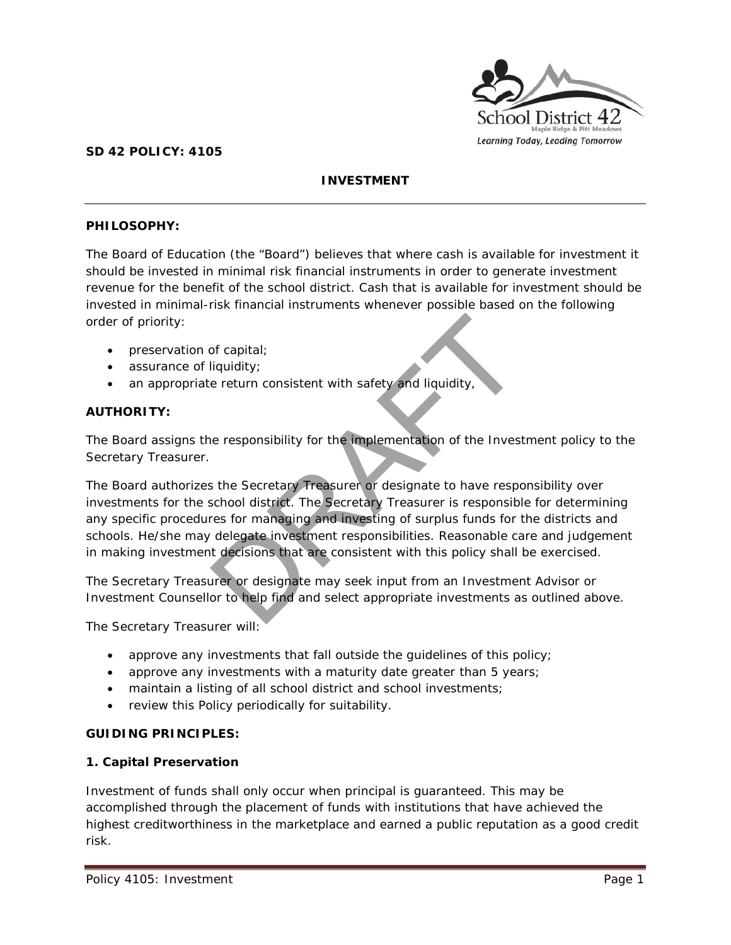

## **SD 42 POLICY: 4105**

# **INVESTMENT**

## **PHILOSOPHY:**

The Board of Education (the "Board") believes that where cash is available for investment it should be invested in minimal risk financial instruments in order to generate investment revenue for the benefit of the school district. Cash that is available for investment should be invested in minimal-risk financial instruments whenever possible based on the following order of priority:

- preservation of capital;
- assurance of liquidity;
- an appropriate return consistent with safety and liquidity,

## **AUTHORITY:**

The Board assigns the responsibility for the implementation of the Investment policy to the Secretary Treasurer.

The Board authorizes the Secretary Treasurer or designate to have responsibility over investments for the school district. The Secretary Treasurer is responsible for determining any specific procedures for managing and investing of surplus funds for the districts and schools. He/she may delegate investment responsibilities. Reasonable care and judgement in making investment decisions that are consistent with this policy shall be exercised. of capital;<br>
liquidity;<br>
e return consistent with safety and liquidity,<br>
e return consistent with safety and liquidity,<br>
step responsibility for the implementation of the Inves<br>
step responsibility. The Secretary Treasurer

The Secretary Treasurer or designate may seek input from an Investment Advisor or Investment Counsellor to help find and select appropriate investments as outlined above.

The Secretary Treasurer will:

- approve any investments that fall outside the guidelines of this policy;
- approve any investments with a maturity date greater than 5 years;
- maintain a listing of all school district and school investments;
- review this Policy periodically for suitability.

#### **GUIDING PRINCIPLES:**

#### **1. Capital Preservation**

Investment of funds shall only occur when principal is guaranteed. This may be accomplished through the placement of funds with institutions that have achieved the highest creditworthiness in the marketplace and earned a public reputation as a good credit risk.